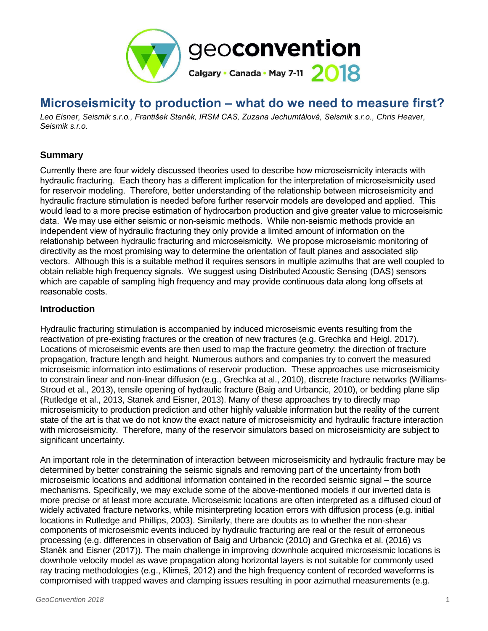

# **Microseismicity to production – what do we need to measure first?**

*Leo Eisner, Seismik s.r.o., František Staněk, IRSM CAS, Zuzana Jechumtálová, Seismik s.r.o., Chris Heaver, Seismik s.r.o.*

### **Summary**

Currently there are four widely discussed theories used to describe how microseismicity interacts with hydraulic fracturing. Each theory has a different implication for the interpretation of microseismicity used for reservoir modeling. Therefore, better understanding of the relationship between microseismicity and hydraulic fracture stimulation is needed before further reservoir models are developed and applied. This would lead to a more precise estimation of hydrocarbon production and give greater value to microseismic data. We may use either seismic or non-seismic methods. While non-seismic methods provide an independent view of hydraulic fracturing they only provide a limited amount of information on the relationship between hydraulic fracturing and microseismicity. We propose microseismic monitoring of directivity as the most promising way to determine the orientation of fault planes and associated slip vectors. Although this is a suitable method it requires sensors in multiple azimuths that are well coupled to obtain reliable high frequency signals. We suggest using Distributed Acoustic Sensing (DAS) sensors which are capable of sampling high frequency and may provide continuous data along long offsets at reasonable costs.

#### **Introduction**

Hydraulic fracturing stimulation is accompanied by induced microseismic events resulting from the reactivation of pre-existing fractures or the creation of new fractures (e.g. Grechka and Heigl, 2017). Locations of microseismic events are then used to map the fracture geometry: the direction of fracture propagation, fracture length and height. Numerous authors and companies try to convert the measured microseismic information into estimations of reservoir production. These approaches use microseismicity to constrain linear and non-linear diffusion (e.g., Grechka at al., 2010), discrete fracture networks (Williams-Stroud et al., 2013), tensile opening of hydraulic fracture (Baig and Urbancic, 2010), or bedding plane slip (Rutledge et al., 2013, Stanek and Eisner, 2013). Many of these approaches try to directly map microseismicity to production prediction and other highly valuable information but the reality of the current state of the art is that we do not know the exact nature of microseismicity and hydraulic fracture interaction with microseismicity. Therefore, many of the reservoir simulators based on microseismicity are subject to significant uncertainty.

An important role in the determination of interaction between microseismicity and hydraulic fracture may be determined by better constraining the seismic signals and removing part of the uncertainty from both microseismic locations and additional information contained in the recorded seismic signal – the source mechanisms. Specifically, we may exclude some of the above-mentioned models if our inverted data is more precise or at least more accurate. Microseismic locations are often interpreted as a diffused cloud of widely activated fracture networks, while misinterpreting location errors with diffusion process (e.g. initial locations in Rutledge and Phillips, 2003). Similarly, there are doubts as to whether the non-shear components of microseismic events induced by hydraulic fracturing are real or the result of erroneous processing (e.g. differences in observation of Baig and Urbancic (2010) and Grechka et al. (2016) vs Staněk and Eisner (2017)). The main challenge in improving downhole acquired microseismic locations is downhole velocity model as wave propagation along horizontal layers is not suitable for commonly used ray tracing methodologies (e.g., Klimeš, 2012) and the high frequency content of recorded waveforms is compromised with trapped waves and clamping issues resulting in poor azimuthal measurements (e.g.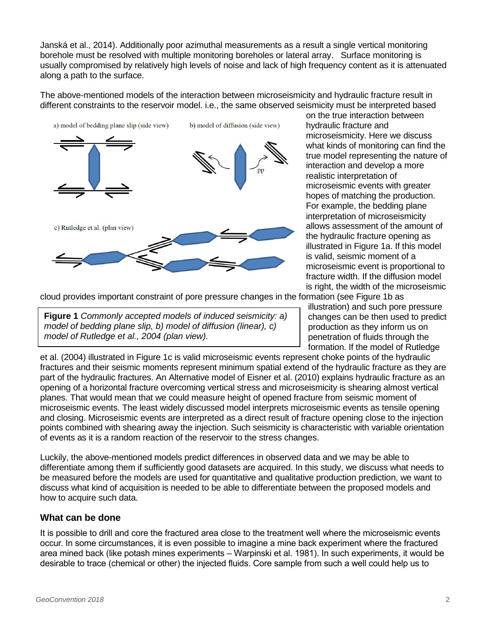Janská et al., 2014). Additionally poor azimuthal measurements as a result a single vertical monitoring borehole must be resolved with multiple monitoring boreholes or lateral array. Surface monitoring is usually compromised by relatively high levels of noise and lack of high frequency content as it is attenuated along a path to the surface.

The above-mentioned models of the interaction between microseismicity and hydraulic fracture result in different constraints to the reservoir model. i.e., the same observed seismicity must be interpreted based



on the true interaction between hydraulic fracture and microseismicity. Here we discuss what kinds of monitoring can find the true model representing the nature of interaction and develop a more realistic interpretation of microseismic events with greater hopes of matching the production. For example, the bedding plane interpretation of microseismicity allows assessment of the amount of the hydraulic fracture opening as illustrated in Figure 1a. If this model is valid, seismic moment of a microseismic event is proportional to fracture width. If the diffusion model is right, the width of the microseismic

cloud provides important constraint of pore pressure changes in the formation (see Figure 1b as

**Figure 1** *Commonly accepted models of induced seismicity: a) model of bedding plane slip, b) model of diffusion (linear), c) model of Rutledge et al., 2004 (plan view).*

illustration) and such pore pressure changes can be then used to predict production as they inform us on penetration of fluids through the formation. If the model of Rutledge

et al. (2004) illustrated in Figure 1c is valid microseismic events represent choke points of the hydraulic fractures and their seismic moments represent minimum spatial extend of the hydraulic fracture as they are part of the hydraulic fractures. An Alternative model of Eisner et al. (2010) explains hydraulic fracture as an opening of a horizontal fracture overcoming vertical stress and microseismicity is shearing almost vertical planes. That would mean that we could measure height of opened fracture from seismic moment of microseismic events. The least widely discussed model interprets microseismic events as tensile opening and closing. Microseismic events are interpreted as a direct result of fracture opening close to the injection points combined with shearing away the injection. Such seismicity is characteristic with variable orientation of events as it is a random reaction of the reservoir to the stress changes.

Luckily, the above-mentioned models predict differences in observed data and we may be able to differentiate among them if sufficiently good datasets are acquired. In this study, we discuss what needs to be measured before the models are used for quantitative and qualitative production prediction, we want to discuss what kind of acquisition is needed to be able to differentiate between the proposed models and how to acquire such data.

### **What can be done**

It is possible to drill and core the fractured area close to the treatment well where the microseismic events occur. In some circumstances, it is even possible to imagine a mine back experiment where the fractured area mined back (like potash mines experiments – Warpinski et al. 1981). In such experiments, it would be desirable to trace (chemical or other) the injected fluids. Core sample from such a well could help us to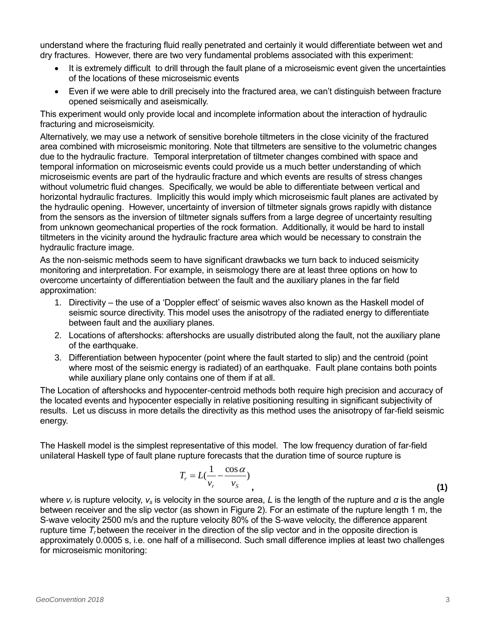understand where the fracturing fluid really penetrated and certainly it would differentiate between wet and dry fractures. However, there are two very fundamental problems associated with this experiment:

- It is extremely difficult to drill through the fault plane of a microseismic event given the uncertainties of the locations of these microseismic events
- Even if we were able to drill precisely into the fractured area, we can't distinguish between fracture opened seismically and aseismically.

This experiment would only provide local and incomplete information about the interaction of hydraulic fracturing and microseismicity.

Alternatively, we may use a network of sensitive borehole tiltmeters in the close vicinity of the fractured area combined with microseismic monitoring. Note that tiltmeters are sensitive to the volumetric changes due to the hydraulic fracture. Temporal interpretation of tiltmeter changes combined with space and temporal information on microseismic events could provide us a much better understanding of which microseismic events are part of the hydraulic fracture and which events are results of stress changes without volumetric fluid changes. Specifically, we would be able to differentiate between vertical and horizontal hydraulic fractures. Implicitly this would imply which microseismic fault planes are activated by the hydraulic opening. However, uncertainty of inversion of tiltmeter signals grows rapidly with distance from the sensors as the inversion of tiltmeter signals suffers from a large degree of uncertainty resulting from unknown geomechanical properties of the rock formation. Additionally, it would be hard to install tiltmeters in the vicinity around the hydraulic fracture area which would be necessary to constrain the hydraulic fracture image.

As the non-seismic methods seem to have significant drawbacks we turn back to induced seismicity monitoring and interpretation. For example, in seismology there are at least three options on how to overcome uncertainty of differentiation between the fault and the auxiliary planes in the far field approximation:

- 1. Directivity the use of a 'Doppler effect' of seismic waves also known as the Haskell model of seismic source directivity. This model uses the anisotropy of the radiated energy to differentiate between fault and the auxiliary planes.
- 2. Locations of aftershocks: aftershocks are usually distributed along the fault, not the auxiliary plane of the earthquake.
- 3. Differentiation between hypocenter (point where the fault started to slip) and the centroid (point where most of the seismic energy is radiated) of an earthquake. Fault plane contains both points while auxiliary plane only contains one of them if at all.

The Location of aftershocks and hypocenter-centroid methods both require high precision and accuracy of the located events and hypocenter especially in relative positioning resulting in significant subjectivity of results. Let us discuss in more details the directivity as this method uses the anisotropy of far-field seismic energy.

The Haskell model is the simplest representative of this model. The low frequency duration of far-field unilateral Haskell type of fault plane rupture forecasts that the duration time of source rupture is

$$
T_r = L(\frac{1}{v_r} - \frac{\cos \alpha}{v_s})
$$
\n(1)

where *v<sup>r</sup>* is rupture velocity, *v<sup>s</sup>* is velocity in the source area, *L* is the length of the rupture and *α* is the angle between receiver and the slip vector (as shown in Figure 2). For an estimate of the rupture length 1 m, the S-wave velocity 2500 m/s and the rupture velocity 80% of the S-wave velocity, the difference apparent rupture time *T<sup>r</sup>* between the receiver in the direction of the slip vector and in the opposite direction is approximately 0.0005 s, i.e. one half of a millisecond. Such small difference implies at least two challenges for microseismic monitoring: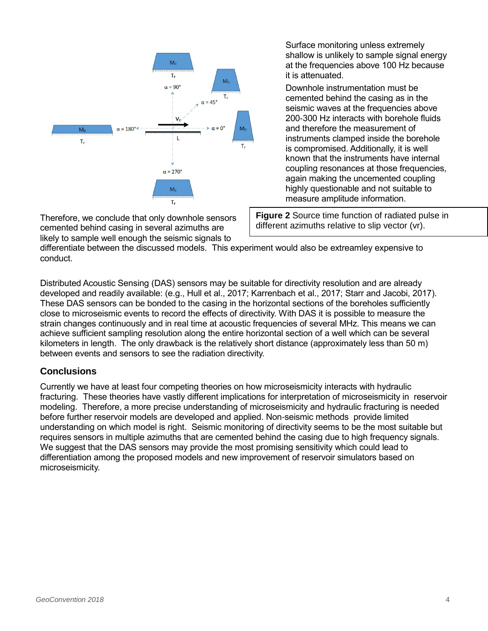

Therefore, we conclude that only downhole sensors cemented behind casing in several azimuths are likely to sample well enough the seismic signals to

Surface monitoring unless extremely shallow is unlikely to sample signal energy at the frequencies above 100 Hz because it is attenuated.

Downhole instrumentation must be cemented behind the casing as in the seismic waves at the frequencies above 200-300 Hz interacts with borehole fluids and therefore the measurement of instruments clamped inside the borehole is compromised. Additionally, it is well known that the instruments have internal coupling resonances at those frequencies, again making the uncemented coupling highly questionable and not suitable to measure amplitude information.

**Figure 2** Source time function of radiated pulse in different azimuths relative to slip vector (vr).

differentiate between the discussed models. This experiment would also be extreamley expensive to conduct.

Distributed Acoustic Sensing (DAS) sensors may be suitable for directivity resolution and are already developed and readily available: (e.g., Hull et al., 2017; Karrenbach et al., 2017; Starr and Jacobi, 2017). These DAS sensors can be bonded to the casing in the horizontal sections of the boreholes sufficiently close to microseismic events to record the effects of directivity. With DAS it is possible to measure the strain changes continuously and in real time at acoustic frequencies of several MHz. This means we can achieve sufficient sampling resolution along the entire horizontal section of a well which can be several kilometers in length. The only drawback is the relatively short distance (approximately less than 50 m) between events and sensors to see the radiation directivity.

## **Conclusions**

Currently we have at least four competing theories on how microseismicity interacts with hydraulic fracturing. These theories have vastly different implications for interpretation of microseismicity in reservoir modeling. Therefore, a more precise understanding of microseismicity and hydraulic fracturing is needed before further reservoir models are developed and applied. Non-seismic methods provide limited understanding on which model is right. Seismic monitoring of directivity seems to be the most suitable but requires sensors in multiple azimuths that are cemented behind the casing due to high frequency signals. We suggest that the DAS sensors may provide the most promising sensitivity which could lead to differentiation among the proposed models and new improvement of reservoir simulators based on microseismicity.